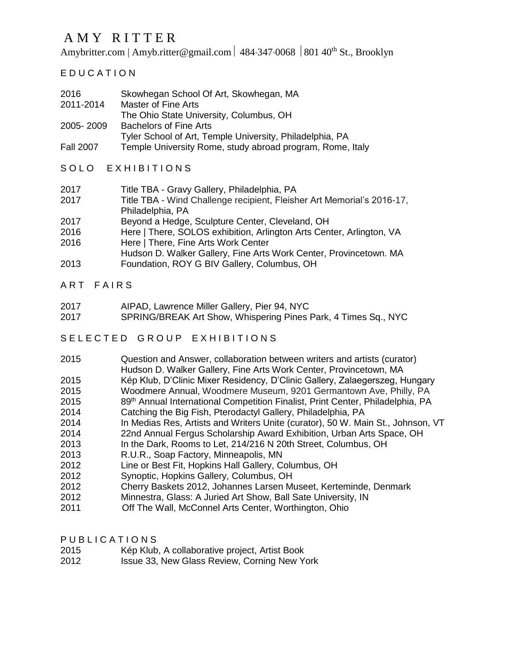# A M Y R I T T E R

Amybritter.com | [Amyb.ritter@gmail.com](mailto:amyb.ritter@gmail.com) | 484.347.0068 | 801 40<sup>th</sup> St., Brooklyn

E D U C A T I O N

| 2016<br>2011-2014 | Skowhegan School Of Art, Skowhegan, MA<br><b>Master of Fine Arts</b> |
|-------------------|----------------------------------------------------------------------|
|                   | The Ohio State University, Columbus, OH                              |
| 2005-2009         | <b>Bachelors of Fine Arts</b>                                        |
|                   | Tyler School of Art, Temple University, Philadelphia, PA             |
| <b>Fall 2007</b>  | Temple University Rome, study abroad program, Rome, Italy            |

## SOLO EXHIBITIONS

| Title TBA - Gravy Gallery, Philadelphia, PA |
|---------------------------------------------|
|                                             |

- 2017 Title TBA Wind Challenge recipient, Fleisher Art Memorial's 2016-17, Philadelphia, PA
- 2017 Beyond a Hedge, Sculpture Center, Cleveland, OH
- 2016 Here | There, SOLOS exhibition, Arlington Arts Center, Arlington, VA
- 2016 Here | There, Fine Arts Work Center
- Hudson D. Walker Gallery, Fine Arts Work Center, Provincetown. MA
- 2013 Foundation, ROY G BIV Gallery, Columbus, OH
- ART FAIRS
- 2017 AIPAD, Lawrence Miller Gallery, Pier 94, NYC
- 2017 SPRING/BREAK Art Show, Whispering Pines Park, 4 Times Sq., NYC

#### SELECTED GROUP EXHIBITIONS

| 2015 | Question and Answer, collaboration between writers and artists (curator)<br>Hudson D. Walker Gallery, Fine Arts Work Center, Provincetown, MA |
|------|-----------------------------------------------------------------------------------------------------------------------------------------------|
| 2015 | Kép Klub, D'Clinic Mixer Residency, D'Clinic Gallery, Zalaegerszeg, Hungary                                                                   |
| 2015 | Woodmere Annual, Woodmere Museum, 9201 Germantown Ave, Philly, PA                                                                             |
| 2015 | 89th Annual International Competition Finalist, Print Center, Philadelphia, PA                                                                |
| 2014 | Catching the Big Fish, Pterodactyl Gallery, Philadelphia, PA                                                                                  |
| 2014 | In Medias Res, Artists and Writers Unite (curator), 50 W. Main St., Johnson, VT                                                               |
| 2014 | 22nd Annual Fergus Scholarship Award Exhibition, Urban Arts Space, OH                                                                         |
| 2013 | In the Dark, Rooms to Let, 214/216 N 20th Street, Columbus, OH                                                                                |
| 2013 | R.U.R., Soap Factory, Minneapolis, MN                                                                                                         |
| 2012 | Line or Best Fit, Hopkins Hall Gallery, Columbus, OH                                                                                          |
| 2012 | Synoptic, Hopkins Gallery, Columbus, OH                                                                                                       |
| 2012 | Cherry Baskets 2012, Johannes Larsen Museet, Kerteminde, Denmark                                                                              |
| 2012 | Minnestra, Glass: A Juried Art Show, Ball Sate University, IN                                                                                 |
| 2011 | Off The Wall, McConnel Arts Center, Worthington, Ohio                                                                                         |

P U B L I C A T I O N S

- 2015 Kép Klub, A collaborative project, Artist Book
- 2012 Issue 33, New Glass Review, Corning New York